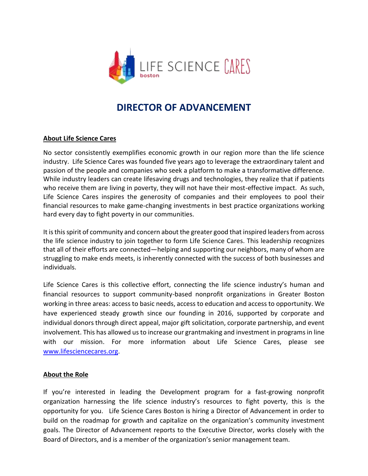

# **DIRECTOR OF ADVANCEMENT**

### **About Life Science Cares**

No sector consistently exemplifies economic growth in our region more than the life science industry. Life Science Cares was founded five years ago to leverage the extraordinary talent and passion of the people and companies who seek a platform to make a transformative difference. While industry leaders can create lifesaving drugs and technologies, they realize that if patients who receive them are living in poverty, they will not have their most-effective impact. As such, Life Science Cares inspires the generosity of companies and their employees to pool their financial resources to make game-changing investments in best practice organizations working hard every day to fight poverty in our communities.

It is this spirit of community and concern about the greater good that inspired leaders from across the life science industry to join together to form Life Science Cares. This leadership recognizes that all of their efforts are connected—helping and supporting our neighbors, many of whom are struggling to make ends meets, is inherently connected with the success of both businesses and individuals.

Life Science Cares is this collective effort, connecting the life science industry's human and financial resources to support community-based nonprofit organizations in Greater Boston working in three areas: access to basic needs, access to education and access to opportunity. We have experienced steady growth since our founding in 2016, supported by corporate and individual donors through direct appeal, major gift solicitation, corporate partnership, and event involvement. This has allowed us to increase our grantmaking and investment in programs in line with our mission. For more information about Life Science Cares, please see [www.lifesciencecares.org.](http://www.lifesciencecares.org/)

#### **About the Role**

If you're interested in leading the Development program for a fast-growing nonprofit organization harnessing the life science industry's resources to fight poverty, this is the opportunity for you. Life Science Cares Boston is hiring a Director of Advancement in order to build on the roadmap for growth and capitalize on the organization's community investment goals. The Director of Advancement reports to the Executive Director, works closely with the Board of Directors, and is a member of the organization's senior management team.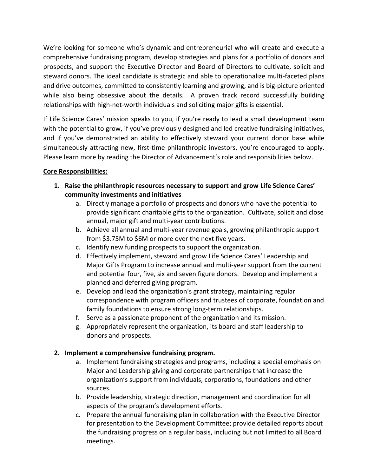We're looking for someone who's dynamic and entrepreneurial who will create and execute a comprehensive fundraising program, develop strategies and plans for a portfolio of donors and prospects, and support the Executive Director and Board of Directors to cultivate, solicit and steward donors. The ideal candidate is strategic and able to operationalize multi-faceted plans and drive outcomes, committed to consistently learning and growing, and is big-picture oriented while also being obsessive about the details. A proven track record successfully building relationships with high-net-worth individuals and soliciting major gifts is essential.

If Life Science Cares' mission speaks to you, if you're ready to lead a small development team with the potential to grow, if you've previously designed and led creative fundraising initiatives, and if you've demonstrated an ability to effectively steward your current donor base while simultaneously attracting new, first-time philanthropic investors, you're encouraged to apply. Please learn more by reading the Director of Advancement's role and responsibilities below.

## **Core Responsibilities:**

- **1. Raise the philanthropic resources necessary to support and grow Life Science Cares' community investments and initiatives**
	- a. Directly manage a portfolio of prospects and donors who have the potential to provide significant charitable gifts to the organization. Cultivate, solicit and close annual, major gift and multi-year contributions.
	- b. Achieve all annual and multi-year revenue goals, growing philanthropic support from \$3.75M to \$6M or more over the next five years.
	- c. Identify new funding prospects to support the organization.
	- d. Effectively implement, steward and grow Life Science Cares' Leadership and Major Gifts Program to increase annual and multi-year support from the current and potential four, five, six and seven figure donors. Develop and implement a planned and deferred giving program.
	- e. Develop and lead the organization's grant strategy, maintaining regular correspondence with program officers and trustees of corporate, foundation and family foundations to ensure strong long-term relationships.
	- f. Serve as a passionate proponent of the organization and its mission.
	- g. Appropriately represent the organization, its board and staff leadership to donors and prospects.

# **2. Implement a comprehensive fundraising program.**

- a. Implement fundraising strategies and programs, including a special emphasis on Major and Leadership giving and corporate partnerships that increase the organization's support from individuals, corporations, foundations and other sources.
- b. Provide leadership, strategic direction, management and coordination for all aspects of the program's development efforts.
- c. Prepare the annual fundraising plan in collaboration with the Executive Director for presentation to the Development Committee; provide detailed reports about the fundraising progress on a regular basis, including but not limited to all Board meetings.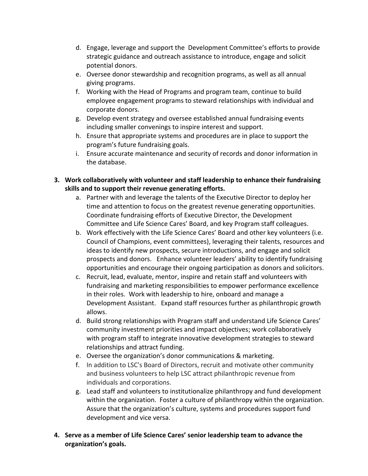- d. Engage, leverage and support the Development Committee's efforts to provide strategic guidance and outreach assistance to introduce, engage and solicit potential donors.
- e. Oversee donor stewardship and recognition programs, as well as all annual giving programs.
- f. Working with the Head of Programs and program team, continue to build employee engagement programs to steward relationships with individual and corporate donors.
- g. Develop event strategy and oversee established annual fundraising events including smaller convenings to inspire interest and support.
- h. Ensure that appropriate systems and procedures are in place to support the program's future fundraising goals.
- i. Ensure accurate maintenance and security of records and donor information in the database.
- **3. Work collaboratively with volunteer and staff leadership to enhance their fundraising skills and to support their revenue generating efforts.**
	- a. Partner with and leverage the talents of the Executive Director to deploy her time and attention to focus on the greatest revenue generating opportunities. Coordinate fundraising efforts of Executive Director, the Development Committee and Life Science Cares' Board, and key Program staff colleagues.
	- b. Work effectively with the Life Science Cares' Board and other key volunteers (i.e. Council of Champions, event committees), leveraging their talents, resources and ideas to identify new prospects, secure introductions, and engage and solicit prospects and donors. Enhance volunteer leaders' ability to identify fundraising opportunities and encourage their ongoing participation as donors and solicitors.
	- c. Recruit, lead, evaluate, mentor, inspire and retain staff and volunteers with fundraising and marketing responsibilities to empower performance excellence in their roles. Work with leadership to hire, onboard and manage a Development Assistant. Expand staff resources further as philanthropic growth allows.
	- d. Build strong relationships with Program staff and understand Life Science Cares' community investment priorities and impact objectives; work collaboratively with program staff to integrate innovative development strategies to steward relationships and attract funding.
	- e. Oversee the organization's donor communications & marketing.
	- f. In addition to LSC's Board of Directors, recruit and motivate other community and business volunteers to help LSC attract philanthropic revenue from individuals and corporations.
	- g. Lead staff and volunteers to institutionalize philanthropy and fund development within the organization. Foster a culture of philanthropy within the organization. Assure that the organization's culture, systems and procedures support fund development and vice versa.
- **4. Serve as a member of Life Science Cares' senior leadership team to advance the organization's goals.**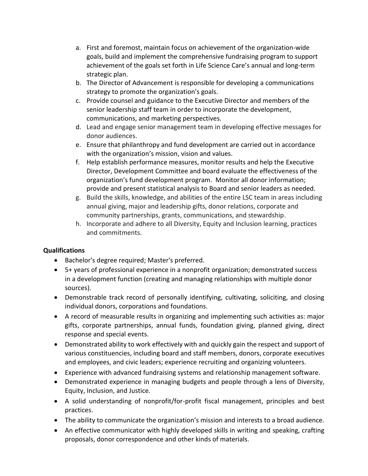- a. First and foremost, maintain focus on achievement of the organization-wide goals, build and implement the comprehensive fundraising program to support achievement of the goals set forth in Life Science Care's annual and long-term strategic plan.
- b. The Director of Advancement is responsible for developing a communications strategy to promote the organization's goals.
- c. Provide counsel and guidance to the Executive Director and members of the senior leadership staff team in order to incorporate the development, communications, and marketing perspectives.
- d. Lead and engage senior management team in developing effective messages for donor audiences.
- e. Ensure that philanthropy and fund development are carried out in accordance with the organization's mission, vision and values.
- f. Help establish performance measures, monitor results and help the Executive Director, Development Committee and board evaluate the effectiveness of the organization's fund development program. Monitor all donor information; provide and present statistical analysis to Board and senior leaders as needed.
- g. Build the skills, knowledge, and abilities of the entire LSC team in areas including annual giving, major and leadership gifts, donor relations, corporate and community partnerships, grants, communications, and stewardship.
- h. Incorporate and adhere to all Diversity, Equity and Inclusion learning, practices and commitments.

## **Qualifications**

- Bachelor's degree required; Master's preferred.
- 5+ years of professional experience in a nonprofit organization; demonstrated success in a development function (creating and managing relationships with multiple donor sources).
- Demonstrable track record of personally identifying, cultivating, soliciting, and closing individual donors, corporations and foundations.
- A record of measurable results in organizing and implementing such activities as: major gifts, corporate partnerships, annual funds, foundation giving, planned giving, direct response and special events.
- Demonstrated ability to work effectively with and quickly gain the respect and support of various constituencies, including board and staff members, donors, corporate executives and employees, and civic leaders; experience recruiting and organizing volunteers.
- Experience with advanced fundraising systems and relationship management software.
- Demonstrated experience in managing budgets and people through a lens of Diversity, Equity, Inclusion, and Justice.
- A solid understanding of nonprofit/for-profit fiscal management, principles and best practices.
- The ability to communicate the organization's mission and interests to a broad audience.
- An effective communicator with highly developed skills in writing and speaking, crafting proposals, donor correspondence and other kinds of materials.